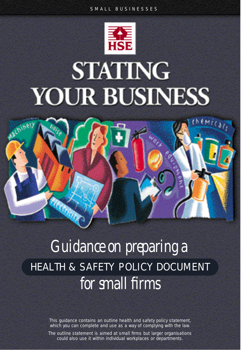# **STATING** YOUR BUSINESS



# *Guidance on preparing a* **HEALTH & SAFETY POLICY DOCUMENT** *for small firms*

This guidance contains an outline health and safety policy statement, which you can complete and use as a way of complying with the law.

The outline statement is aimed at small firms but larger organisations could also use it within individual workplaces or departments.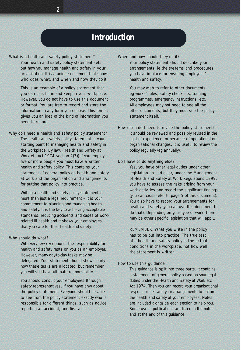#### *Introduction*

#### *What is a health and safety policy statement?*

*2*

Your health and safety policy statement sets out how you manage health and safety in your organisation. It is a unique document that shows who does what; and when and how they do it.

This is an example of a policy statement that you can use, fill in and keep in your workplace. However, you do not have to use this document or format. You are free to record and store the information in any form you choose. This format gives you an idea of the kind of information you need to record.

#### *Why do I need a health and safety policy statement?*

The health and safety policy statement is your starting point to managing health and safety in the workplace. By law, (Health and Safety at Work etc Act 1974 section 2(3)) if you employ five or more people you must have a written health and safety policy. This contains your statement of general policy on health and safety at work and the organisation and arrangements for putting that policy into practice.

Writing a health and safety policy statement is more than just a legal requirement  $-$  it is your commitment to planning and managing health and safety. It is the key to achieving acceptable standards, reducing accidents and cases of workrelated ill health and it shows your employees that you care for their health and safety.

#### *Who should do what?*

With very few exceptions, the responsibility for health and safety rests on you as an employer. However, many day-to-day tasks may be delegated. Your statement should show clearly how these tasks are allocated, but remember, you will still have ultimate responsibility.

You should consult your employees (through safety representatives, if you have any) about the policy statement. Everyone should be able to see from the policy statement exactly who is responsible for different things, such as advice, reporting an accident, and first aid.

#### *When and how should they do it?*

Your policy statement should describe your arrangements, ie the systems and procedures you have in place for ensuring employees' health and safety.

You may wish to refer to other documents, eg works' rules, safety checklists, training programmes, emergency instructions, etc. All employees may not need to see all the other documents, but they must see the policy statement itself.

#### *How often do I need to revise the policy statement?*

It should be reviewed and possibly revised in the light of experience, or because of operational or organisational changes. It is useful to review the policy regularly (eg annually).

#### *Do I have to do anything else?*

Yes, you have other legal duties under other legislation. In particular, under the Management of Health and Safety at Work Regulations 1999, you have to assess the risks arising from your work activities and record the significant findings (you can cross-refer to page 5 of this document). You also have to record your arrangements for health and safety (you can use this document to do that). Depending on your type of work, there may be other specific legislation that will apply.

REMEMBER: What you write in the policy has to be put into practice. The true test of a health and safety policy is the actual conditions in the workplace, not how well the statement is written.

#### *How to use this guidance*

This guidance is split into three parts. It contains a statement of general policy based on your legal duties under the Health and Safety at Work etc Act 1974. Then you can record your organisational responsibilities and your arrangements to ensure the health and safety of your employees. Notes are included alongside each section to help you. Some useful publications are listed in the notes and at the end of this guidance.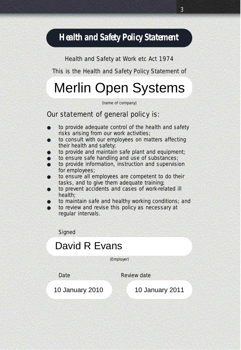### *Health and Safety Policy Statement*

Health and Safety at Work etc Act 1974

This is the Health and Safety Policy Statement of

# Merlin Open Systems

(name of company)

#### *Our statement of general policy is:*

- to provide adequate control of the health and safety risks arising from our work activities;
- to consult with our employees on matters affecting their health and safety;
- to provide and maintain safe plant and equipment;
- to ensure safe handling and use of substances;
- to provide information, instruction and supervision for employees;
- to ensure all employees are competent to do their tasks, and to give them adequate training;
- to prevent accidents and cases of work-related ill health;
- to maintain safe and healthy working conditions; and
- to review and revise this policy as necessary at regular intervals.

**Signed** 

# David R Evans<br>
(Employer)<br>
Date Review date<br>
10 January 2010 10 January 2011

(Employer)

Date Review date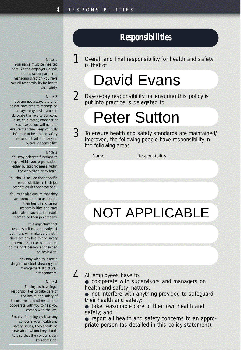#### *Re s p o n s i b i l i t i e s*

*1* Overall and final responsibility for health and safety is that of

# David Evans

*2* Day-to-day responsibility for ensuring this policy is put into practice is delegated to

# Peter Sutton

*3* To ensure health and safety standards are maintained/ improved, the following people have responsibility in the following areas

*Name Responsibility*

### NOT APPLICABLE

#### *Note 1*

Your name must be inserted here. As the employer (ie sole trader, senior partner or managing director) you have overall responsibility for health and safety.

#### *Note 2*

If you are not always there, or do not have time to manage on a day-to-day basis, you can delegate this role to someone else, eg director, manager or supervisor. You will need to ensure that they keep you fully informed of health and safety matters – it will still be your overall responsibility.

#### *Note 3*

You may delegate functions to people within your organisation, either by specific areas within the workplace or by topic.

You should include their specific responsibilities in their job description (if they have one).

You must also ensure that they are competent to undertake their health and safety responsibilities and have adequate resources to enable them to do their job properly.

#### It is important that

responsibilities are clearly set out – this will make sure that if there are any health and safety concerns, they can be reported to the right person, so they can be dealt with.

You may wish to insert a diagram or chart showing your management structure/ arrangements.

#### *Note 4*

Employees have legal responsibilities to take care of the health and safety of themselves and others, and to co-operate with you to help you comply with the law.

Equally, if employees have any concerns over health and safety issues, they should be clear about whom they should tell, so that the concerns can be addressed.

*4* All employees have to:

- co-operate with supervisors and managers on health and safety matters;
- not interfere with anything provided to safeguard their health and safety;
- take reasonable care of their own health and safety; and
- report all health and safety concerns to an appropriate person (as detailed in this policy statement).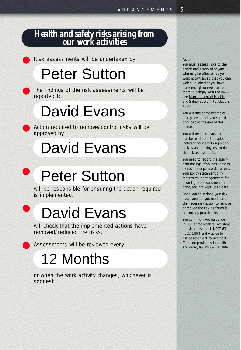#### *Health and safety risks arising fro m our work activities*

Risk assessments will be undertaken by

# Peter Sutton

The findings of the risk assessments will be reported to

# David Evans

Action required to remove/control risks will be approved by

# David Evans

# Peter Sutton

will be responsible for ensuring the action required is implemented.

# David Evans

will check that the implemented actions have removed/reduced the risks.

Assessments will be reviewed every

●

●

# 12 Months

or when the work activity changes, whichever is soonest.

#### *Note*

You must assess risks to the health and safety of anyone who may be affected by your work activities, so that you can weigh up whether you have done enough or need to do more to comply with the law see Management of Health and Safety at Work Regulations 1999.

You will find some examples of key areas that you should consider, at the end of this guidance.

You will need to involve a number of different people. including your safety representatives and employees, to do the risk assessments.

You need to record the significant findings of your risk assessments in a separate document. Your policy statement only records your arrangements for ensuring the assessments are done, and are kept up to date.

Once you have done your risk assessments, you must take the necessary action to remove or reduce the risk as far as is reasonably practicable.

You can find more guidance in HSE's free leaflets *Five steps* to risk assessment INDG163 ( rev1) 1998 and *A guide to*  risk assessment requirements: *Common provisions in health and safety law* INDG218 1996.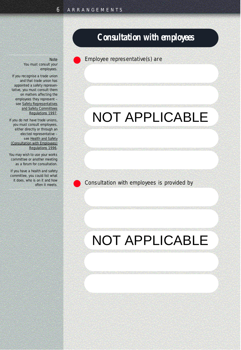#### *Consultation with employees*

Employee representative(s) are

### NOT APPLICABLE

Consultation with employees is provided by

### NOT APPLICABLE

*Note*  You must consult your employees.

If you recognise a trade union and that trade union has appointed a safety representative, you must consult them on matters affecting the employees they represent see Safety Representatives and Safety Committees Regulations 1997.

If you do not have trade unions, you must consult employees, either directly or through an elected representative see Health and Safety (Consultation with Employees) Regulations 1996.

You may wish to use your works committee or another meeting as a forum for consultation.

If you have a health and safety committee, you could list what it does, who is on it and how often it meets.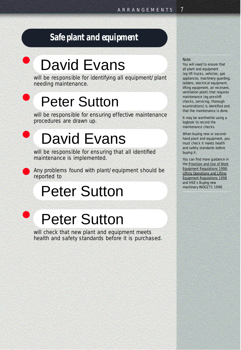### *Safe plant and equipment*

# David Evans

will be responsible for identifying all equipment/plant needing maintenance.

# Peter Sutton

will be responsible for ensuring effective maintenance procedures are drawn up.

# David Evans

will be responsible for ensuring that all identified maintenance is implemented.

Any problems found with plant/equipment should be reported to

### Peter Sutton



●

●

●

# Peter Sutton

will check that new plant and equipment meets health and safety standards before it is purchased.

#### *Note*

You will need to ensure that all plant and equipment (eg lift trucks, vehicles, gas appliances, machinery quarding, ladders, electrical equipment, lifting equipment, air receivers, ventilation plant) that requires maintenance (eq pre-shift) checks, servicing, thorough examinations) is identified and that the maintenance is done.

It may be worthwhile using a logbook to record the maintenance checks.

When buying new or secondhand plant and equipment, you must check it meets health and safety standards before buying it.

You can find more guidance in the Provision and Use of Work Equipment Regulations 1998, Lifting Operations and Lifting Equipment Regulations 1998 and HSE's *Buying new machinery* INDG271 1998.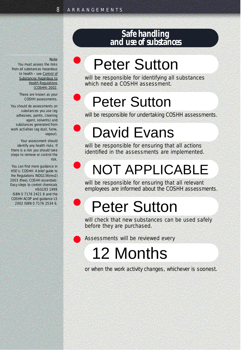●

●

●

●

●

#### *Safe handling and use of substances*

#### *Note*

You must assess the risks from all substances hazardous to health – see Control of Substances Hazardous to **Health Regulations** (COSHH) 2002.

> These are known as your COSHH assessments.

You should do assessments on substances you use (eg adhesives, paints, cleaning agent, solvents) and substances generated from work activities (eg dust, fume, vapour).

Your assessment should identify any health risks. If there is a risk you should take steps to remove or control the risk.

You can find more guidance in HSE's: COSHH: A brief guide to *the Regulations* INDG136(rev2) 2003 (free); *COSHH essentials: Easy steps to control chemicals* HSG193 1999

ISBN 0 7176 2421 8 and the **COSHH ACOP and guidance L5** 2002 ISBN 0 7176 2534 6.

# Peter Sutton

will be responsible for identifying all substances which need a COSHH assessment.

# Peter Sutton

will be responsible for undertaking COSHH assessments.

# David Evans

will be responsible for ensuring that all actions identified in the assessments are implemented.

# NOT APPLICABLE

will be responsible for ensuring that all relevant employees are informed about the COSHH assessments.

# Peter Sutton

will check that new substances can be used safely before they are purchased.

Assessments will be reviewed every

# 12 Months

or when the work activity changes, whichever is soonest.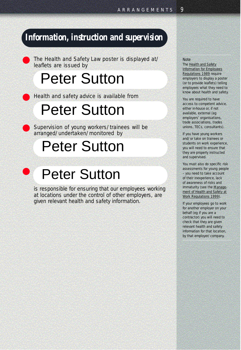#### *Information, instruction and supervision*

The Health and Safety Law poster is displayed at/ leaflets are issued by

# Peter Sutton

Health and safety advice is available from

# Peter Sutton

Supervision of young workers/trainees will be arranged/undertaken/monitored by

### Peter Sutton

#### ● Peter Sutton

is responsible for ensuring that our employees working at locations under the control of other employers, are given relevant health and safety information.

#### *Note*

The Health and Safety Information for Employees Regulations 1989 require employers to display a poster (or to provide leaflets) telling employees what they need to know about health and safety.

You are required to have access to competent advice, either in-house or, if not available, external (eg employers' organisations, trade associations, trades unions, TECs, consultants).

If you have young workers and/or take on trainees or students on work experience, you will need to ensure that they are properly instructed and supervised.

You must also do specific risk assessments for young people – you need to take account of their inexperience, lack of awareness of risks and immaturity (see the Management of Health and Safety at Work Regulations 1999).

If your employees go to work for another employer on your behalf (eg if you are a contractor) you will need to check that they are given relevant health and safety information for that location, by that employer/company.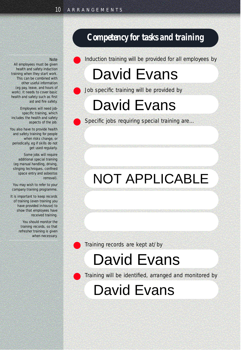#### *Competency for tasks and training*

Induction training will be provided for all employees by

### David Evans

Job specific training will be provided by

### David Evans

Specific jobs requiring special training are...

### NOT APPLICABLE

Training records are kept at/by

### David Evans

Training will be identified, arranged and monitored by

David Evans

#### *Note*

All employees must be given health and safety induction training when they start work. This can be combined with other useful information (eg pay, leave, and hours of work). It needs to cover basic health and safety such as first aid and fire safety.

Employees will need jobspecific training, which includes the health and safety aspects of the job.

You also have to provide health and safety training for people when risks change, or periodically, eg if skills do not get used requiarly.

Some jobs will require additional special training (eg manual handling, driving, slinging techniques, confined space entry and asbestos removal).

You may wish to refer to your company training programme.

It is important to keep records of training (even training you have provided in-house) to show that employees have received training.

> You should monitor the training records, so that refresher training is given when necessary.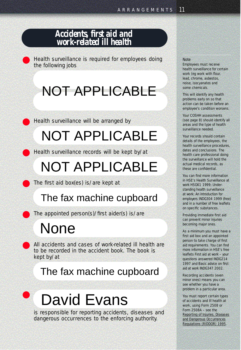#### *Accidents, first aid and work-related ill health*

Health surveillance is required for employees doing the following jobs

### NOT APPLICABLE

Health surveillance will be arranged by

### NOT APPLICABLE

Health surveillance records will be kept by/at

### NOT APPLICABLE

The first aid box(es) is/are kept at

### The fax machine cupboard

The appointed person(s)/first aider(s) is/are

### None

All accidents and cases of work-related ill health are to be recorded in the accident book. The book is kept by/at

### The fax machine cupboard

#### ● David Evans

is responsible for reporting accidents, diseases and dangerous occurrences to the enforcing authority.

#### *Note*

Employees must receive health surveillance for certain work (eq work with flour, lead, chrome, asbestos, noise, isocyanates and some chemicals.

This will identify any health problems early on so that action can be taken before an employee's condition worsens.

Your COSHH assessments (see page 8) should identify all areas and the type of health surveillance needed.

Your records should contain details of the employees, the health surveillance procedures, dates and conclusions. The health care professional doing the surveillance will hold the actual medical records, as these are confidential.

You can find more information in HSE's *Health Surveillance at* work HSG61 1999; Under*standing health surveillance at work: An introduction for employers* INDG304 1999 (free) and in a number of free leaflets on specific substances.

Providing immediate first aid can prevent minor injuries becoming major ones.

As a minimum you must have a first aid box and an appointed person to take charge of first aid requirements. You can find more information in HSE's free leaflets *First aid at work - your questions answered* INDG214 1997 and *Basic advice on first aid at work* INDG347 2002.

Recording accidents (even minor ones) means you can see whether you have a problem in a particular area.

You must report certain types of accidents and ill health at work, using Form 2508 or Form  $2508A -$  see the Reporting of Injuries, Diseases and Dangerous Occurrences Regulations (RIDDOR) 1995.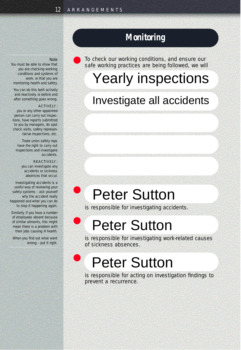#### *Monitoring*

To check our working conditions, and ensure our safe working practices are being followed, we will

### Yearly inspections

### Investigate all accidents

### Peter Sutton

is responsible for investigating accidents.

### Peter Sutton

is responsible for investigating work-related causes of sickness absences.

### Peter Sutton

is responsible for acting on investigation findings to prevent a recurrence.

#### *Note*

You must be able to show that you are checking working conditions and systems of work, ie that you are monitoring health and safety.

You can do this both actively and reactively, ie before and after something goes wrong.

#### **ACTIVELY:**

you or any other appointed person can carry out inspections, have reports submitted to you by managers, do spot check visits, safety representative inspections, etc.

Trade union safety reps have the right to carry out inspections and investigate accidents.

#### **DE ACTIVEIV.**

●

●

●

you can investigate any accidents or sickness absences that occur.

Investigating accidents is a useful way of reviewing your safety systems – ask yourself why the accident really happened and what you can do to stop it happening again.

Similarly, if you have a number of employees absent because of similar ailments, this might mean there is a problem with their jobs causing ill health.

When you find out what went wrong – put it right.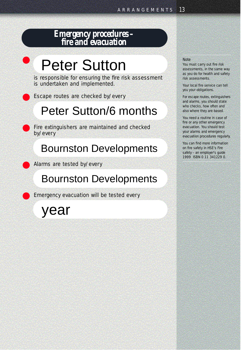#### *Emergency procedures – fire and evacuation*

# Peter Sutton

●

is responsible for ensuring the fire risk assessment is undertaken and implemented.

Escape routes are checked by/every

### Peter Sutton/6 months

Fire extinguishers are maintained and checked by/every

### Bournston Developments

Alarms are tested by/every

### Bournston Developments

Emergency evacuation will be tested every

year

#### *Note*

You must carry out fire risk assessments, in the same way as you do for health and safety risk assessments.

Your local fire service can tell you your obligations.

For escape routes, extinguishers and alarms, you should state who checks, how often and also where they are based.

You need a routine in case of fire or any other emergency evacuation. You should test your alarms and emergency evacuation procedures regularly.

You can find more information on fire safety in HSE's Fire *safety – an employer's guide* 1999 ISBN 0 11 341229 0.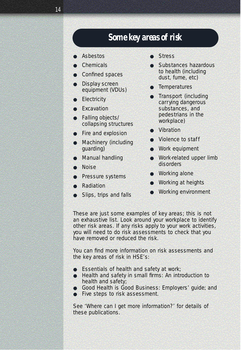#### *Some key areas of risk*

- **Asbestos**
- Chemicals
- **Confined spaces**
- Display screen equipment (VDUs)
- **Electricity**
- **Excavation**
- Falling objects/ collapsing structures
- Fire and explosion
- Machinery (including guarding)
- Manual handling
- Noise
- Pressure systems
- Radiation
- Slips, trips and falls
- **Stress**
- Substances hazardous to health (including dust, fume, etc)
- **Temperatures**
- Transport (including carrying dangerous substances, and pedestrians in the workplace)
- **Vibration**
- Violence to staff
- Work equipment
- Work-related upper limb disorders
- **Working alone**
- Working at heights
- Working environment

These are just some examples of key areas; this is not an exhaustive list. Look around your workplace to identify other risk areas. If any risks apply to your work activities, you will need to do risk assessments to check that you have removed or reduced the risk.

You can find more information on risk assessments and the key areas of risk in HSE's:

- *Essentials of health and safety at work*;
- *Health and safety in small firms: An introduction to health and safety*;
- *Good Health is Good Business: Employers' guide*; and
- *Five steps to risk assessment*.

See 'Where can I get more information?' for details of these publications.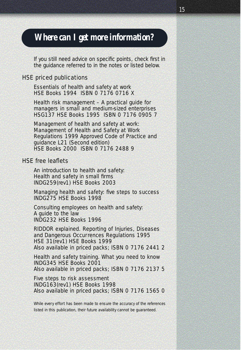#### *Where can I get more information?*

If you still need advice on specific points, check first in the guidance referred to in the notes or listed below.

#### *HSE priced publications*

*Essentials of health and safety at work* HSE Books 1994 ISBN 0 7176 0716 X

*Health risk management – A practical guide for managers in small and medium-sized enterprises* HSG137 HSE Books 1995 ISBN 0 7176 0905 7

*Management of health and safety at work: Management of Health and Safety at Work Regulations 1999 Approved Code of Practice and guidance* L21 (Second edition) HSE Books 2000 ISBN 0 7176 2488 9

#### *HSE free leaflets*

*An introduction to health and safety: Health and safety in small firms* INDG259(rev1) HSE Books 2003

*Managing health and safety: five steps to success* INDG275 HSE Books 1998

*Consulting employees on health and safety: A guide to the law* INDG232 HSE Books 1996

*RIDDOR explained. Reporting of Injuries, Diseases and Dangerous Occurrences Regulations 1995* HSE 31(rev1) HSE Books 1999 Also available in priced packs; ISBN 0 7176 2441 2

*Health and safety training. What you need to know* INDG345 HSE Books 2001 Also available in priced packs; ISBN 0 7176 2137 5

*Five steps to risk assessment* INDG163(rev1) HSE Books 1998 Also available in priced packs; ISBN 0 7176 1565 0

While every effort has been made to ensure the accuracy of the references listed in this publication, their future availability cannot be guaranteed.